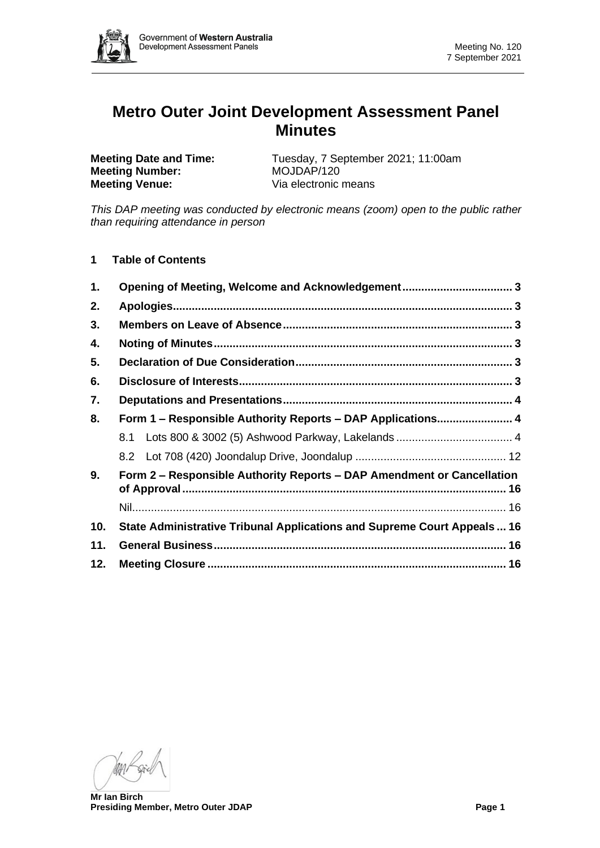

# **Metro Outer Joint Development Assessment Panel Minutes**

**Meeting Date and Time:** Tuesday, 7 September 2021; 11:00am **Meeting Number:** MOJDAP/120 **Meeting Venue:** Via electronic means

*This DAP meeting was conducted by electronic means (zoom) open to the public rather than requiring attendance in person*

**1 Table of Contents**

| 1.             |                                                                         |  |  |  |
|----------------|-------------------------------------------------------------------------|--|--|--|
| 2.             |                                                                         |  |  |  |
| 3.             |                                                                         |  |  |  |
| 4.             |                                                                         |  |  |  |
| 5.             |                                                                         |  |  |  |
| 6.             |                                                                         |  |  |  |
| 7.             |                                                                         |  |  |  |
| 8.             | Form 1 - Responsible Authority Reports - DAP Applications 4             |  |  |  |
|                |                                                                         |  |  |  |
|                |                                                                         |  |  |  |
| 9 <sub>1</sub> | Form 2 - Responsible Authority Reports - DAP Amendment or Cancellation  |  |  |  |
|                |                                                                         |  |  |  |
| 10.            | State Administrative Tribunal Applications and Supreme Court Appeals 16 |  |  |  |
| 11.            |                                                                         |  |  |  |
| 12.            |                                                                         |  |  |  |

**Mr Ian Birch Presiding Member, Metro Outer JDAP Page 1**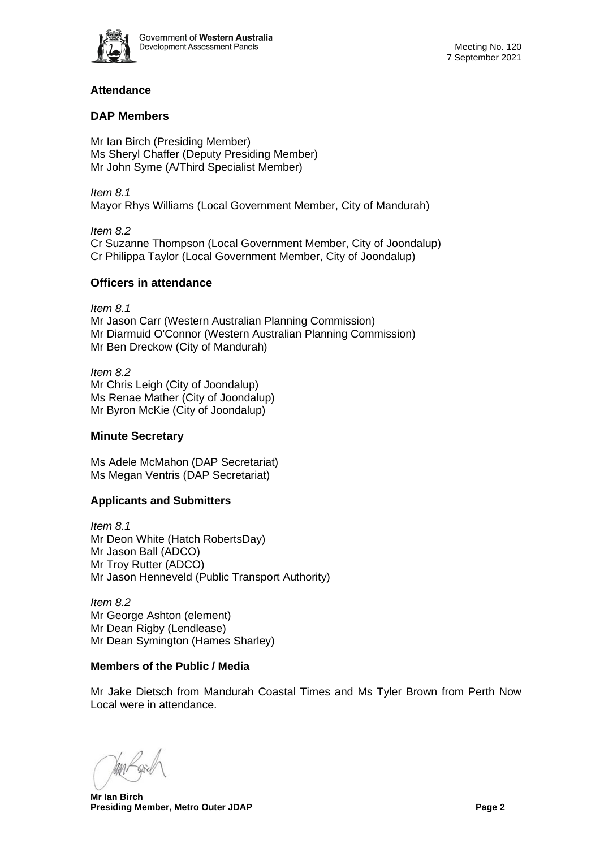

# **Attendance**

# **DAP Members**

Mr Ian Birch (Presiding Member) Ms Sheryl Chaffer (Deputy Presiding Member) Mr John Syme (A/Third Specialist Member)

*Item 8.1* Mayor Rhys Williams (Local Government Member, City of Mandurah)

*Item 8.2* Cr Suzanne Thompson (Local Government Member, City of Joondalup) Cr Philippa Taylor (Local Government Member, City of Joondalup)

# **Officers in attendance**

*Item 8.1* Mr Jason Carr (Western Australian Planning Commission) Mr Diarmuid O'Connor (Western Australian Planning Commission) Mr Ben Dreckow (City of Mandurah)

*Item 8.2* Mr Chris Leigh (City of Joondalup) Ms Renae Mather (City of Joondalup) Mr Byron McKie (City of Joondalup)

# **Minute Secretary**

Ms Adele McMahon (DAP Secretariat) Ms Megan Ventris (DAP Secretariat)

# **Applicants and Submitters**

*Item 8.1* Mr Deon White (Hatch RobertsDay) Mr Jason Ball (ADCO) Mr Troy Rutter (ADCO) Mr Jason Henneveld (Public Transport Authority)

*Item 8.2* Mr George Ashton (element) Mr Dean Rigby (Lendlease) Mr Dean Symington (Hames Sharley)

### **Members of the Public / Media**

Mr Jake Dietsch from Mandurah Coastal Times and Ms Tyler Brown from Perth Now Local were in attendance.

**Mr Ian Birch Presiding Member, Metro Outer JDAP Page 2 Page 2**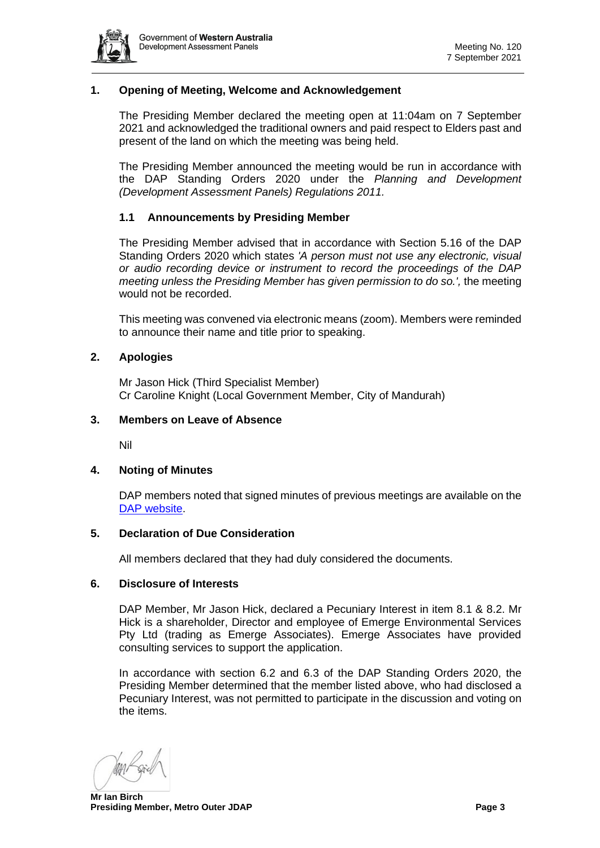

# <span id="page-2-0"></span>**1. Opening of Meeting, Welcome and Acknowledgement**

The Presiding Member declared the meeting open at 11:04am on 7 September 2021 and acknowledged the traditional owners and paid respect to Elders past and present of the land on which the meeting was being held.

The Presiding Member announced the meeting would be run in accordance with the DAP Standing Orders 2020 under the *Planning and Development (Development Assessment Panels) Regulations 2011.*

### **1.1 Announcements by Presiding Member**

The Presiding Member advised that in accordance with Section 5.16 of the DAP Standing Orders 2020 which states *'A person must not use any electronic, visual or audio recording device or instrument to record the proceedings of the DAP meeting unless the Presiding Member has given permission to do so.',* the meeting would not be recorded.

This meeting was convened via electronic means (zoom). Members were reminded to announce their name and title prior to speaking.

### <span id="page-2-1"></span>**2. Apologies**

Mr Jason Hick (Third Specialist Member) Cr Caroline Knight (Local Government Member, City of Mandurah)

#### <span id="page-2-2"></span>**3. Members on Leave of Absence**

Nil

### <span id="page-2-3"></span>**4. Noting of Minutes**

DAP members noted that signed minutes of previous meetings are available on the [DAP website.](https://www.dplh.wa.gov.au/about/development-assessment-panels/daps-agendas-and-minutes)

### <span id="page-2-4"></span>**5. Declaration of Due Consideration**

All members declared that they had duly considered the documents.

#### <span id="page-2-5"></span>**6. Disclosure of Interests**

DAP Member, Mr Jason Hick, declared a Pecuniary Interest in item 8.1 & 8.2. Mr Hick is a shareholder, Director and employee of Emerge Environmental Services Pty Ltd (trading as Emerge Associates). Emerge Associates have provided consulting services to support the application.

In accordance with section 6.2 and 6.3 of the DAP Standing Orders 2020, the Presiding Member determined that the member listed above, who had disclosed a Pecuniary Interest, was not permitted to participate in the discussion and voting on the items.

**Mr Ian Birch Presiding Member, Metro Outer JDAP Page 3 Page 3**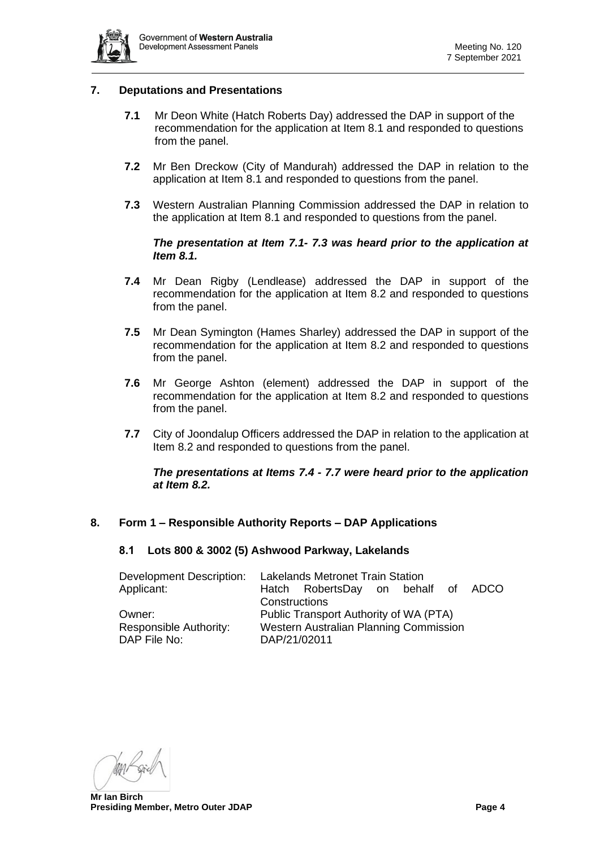

### <span id="page-3-0"></span>**7. Deputations and Presentations**

- **7.1** Mr Deon White (Hatch Roberts Day) addressed the DAP in support of the recommendation for the application at Item 8.1 and responded to questions from the panel.
- **7.2** Mr Ben Dreckow (City of Mandurah) addressed the DAP in relation to the application at Item 8.1 and responded to questions from the panel.
- **7.3** Western Australian Planning Commission addressed the DAP in relation to the application at Item 8.1 and responded to questions from the panel.

### *The presentation at Item 7.1- 7.3 was heard prior to the application at Item 8.1.*

- **7.4** Mr Dean Rigby (Lendlease) addressed the DAP in support of the recommendation for the application at Item 8.2 and responded to questions from the panel.
- **7.5** Mr Dean Symington (Hames Sharley) addressed the DAP in support of the recommendation for the application at Item 8.2 and responded to questions from the panel.
- **7.6** Mr George Ashton (element) addressed the DAP in support of the recommendation for the application at Item 8.2 and responded to questions from the panel.
- **7.7** City of Joondalup Officers addressed the DAP in relation to the application at Item 8.2 and responded to questions from the panel.

### *The presentations at Items 7.4 - 7.7 were heard prior to the application at Item 8.2.*

### <span id="page-3-2"></span><span id="page-3-1"></span>**8. Form 1 – Responsible Authority Reports – DAP Applications**

### **8.1 Lots 800 & 3002 (5) Ashwood Parkway, Lakelands**

| Development Description: | <b>Lakelands Metronet Train Station</b> |                                        |  |  |  |  |
|--------------------------|-----------------------------------------|----------------------------------------|--|--|--|--|
| Applicant:               |                                         | Hatch RobertsDay on behalf of ADCO     |  |  |  |  |
|                          | Constructions                           |                                        |  |  |  |  |
| Owner:                   |                                         | Public Transport Authority of WA (PTA) |  |  |  |  |
| Responsible Authority:   |                                         | Western Australian Planning Commission |  |  |  |  |
| DAP File No:             | DAP/21/02011                            |                                        |  |  |  |  |

**Mr Ian Birch Presiding Member, Metro Outer JDAP Page 4 Page 4 Page 4**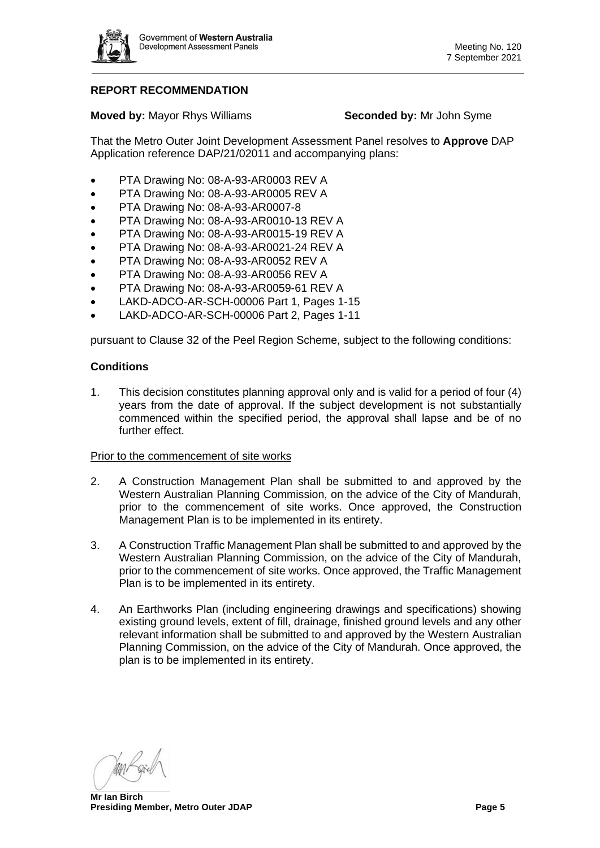

# **REPORT RECOMMENDATION**

**Moved by: Mayor Rhys Williams <b>Seconded by:** Mr John Syme

That the Metro Outer Joint Development Assessment Panel resolves to **Approve** DAP Application reference DAP/21/02011 and accompanying plans:

- PTA Drawing No: 08-A-93-AR0003 REV A
- PTA Drawing No: 08-A-93-AR0005 REV A
- PTA Drawing No: 08-A-93-AR0007-8
- PTA Drawing No: 08-A-93-AR0010-13 REV A
- PTA Drawing No: 08-A-93-AR0015-19 REV A
- PTA Drawing No: 08-A-93-AR0021-24 REV A
- PTA Drawing No: 08-A-93-AR0052 REV A
- PTA Drawing No: 08-A-93-AR0056 REV A
- PTA Drawing No: 08-A-93-AR0059-61 REV A
- LAKD-ADCO-AR-SCH-00006 Part 1, Pages 1-15
- LAKD-ADCO-AR-SCH-00006 Part 2, Pages 1-11

pursuant to Clause 32 of the Peel Region Scheme, subject to the following conditions:

### **Conditions**

1. This decision constitutes planning approval only and is valid for a period of four (4) years from the date of approval. If the subject development is not substantially commenced within the specified period, the approval shall lapse and be of no further effect.

### Prior to the commencement of site works

- 2. A Construction Management Plan shall be submitted to and approved by the Western Australian Planning Commission, on the advice of the City of Mandurah, prior to the commencement of site works. Once approved, the Construction Management Plan is to be implemented in its entirety.
- 3. A Construction Traffic Management Plan shall be submitted to and approved by the Western Australian Planning Commission, on the advice of the City of Mandurah, prior to the commencement of site works. Once approved, the Traffic Management Plan is to be implemented in its entirety.
- 4. An Earthworks Plan (including engineering drawings and specifications) showing existing ground levels, extent of fill, drainage, finished ground levels and any other relevant information shall be submitted to and approved by the Western Australian Planning Commission, on the advice of the City of Mandurah. Once approved, the plan is to be implemented in its entirety.

**Mr Ian Birch Presiding Member, Metro Outer JDAP Page 5**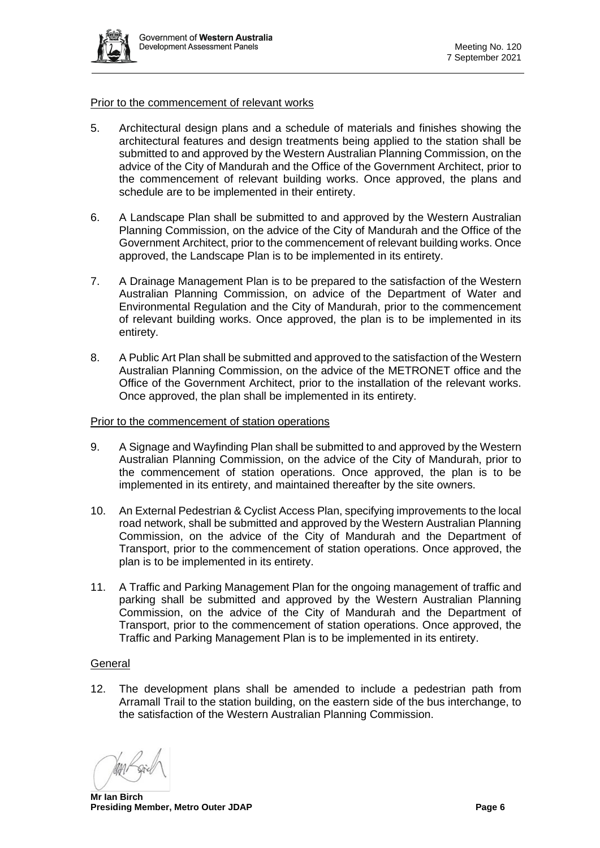

### Prior to the commencement of relevant works

- 5. Architectural design plans and a schedule of materials and finishes showing the architectural features and design treatments being applied to the station shall be submitted to and approved by the Western Australian Planning Commission, on the advice of the City of Mandurah and the Office of the Government Architect, prior to the commencement of relevant building works. Once approved, the plans and schedule are to be implemented in their entirety.
- 6. A Landscape Plan shall be submitted to and approved by the Western Australian Planning Commission, on the advice of the City of Mandurah and the Office of the Government Architect, prior to the commencement of relevant building works. Once approved, the Landscape Plan is to be implemented in its entirety.
- 7. A Drainage Management Plan is to be prepared to the satisfaction of the Western Australian Planning Commission, on advice of the Department of Water and Environmental Regulation and the City of Mandurah, prior to the commencement of relevant building works. Once approved, the plan is to be implemented in its entirety.
- 8. A Public Art Plan shall be submitted and approved to the satisfaction of the Western Australian Planning Commission, on the advice of the METRONET office and the Office of the Government Architect, prior to the installation of the relevant works. Once approved, the plan shall be implemented in its entirety.

### Prior to the commencement of station operations

- 9. A Signage and Wayfinding Plan shall be submitted to and approved by the Western Australian Planning Commission, on the advice of the City of Mandurah, prior to the commencement of station operations. Once approved, the plan is to be implemented in its entirety, and maintained thereafter by the site owners.
- 10. An External Pedestrian & Cyclist Access Plan, specifying improvements to the local road network, shall be submitted and approved by the Western Australian Planning Commission, on the advice of the City of Mandurah and the Department of Transport, prior to the commencement of station operations. Once approved, the plan is to be implemented in its entirety.
- 11. A Traffic and Parking Management Plan for the ongoing management of traffic and parking shall be submitted and approved by the Western Australian Planning Commission, on the advice of the City of Mandurah and the Department of Transport, prior to the commencement of station operations. Once approved, the Traffic and Parking Management Plan is to be implemented in its entirety.

### **General**

12. The development plans shall be amended to include a pedestrian path from Arramall Trail to the station building, on the eastern side of the bus interchange, to the satisfaction of the Western Australian Planning Commission.

**Mr Ian Birch Presiding Member, Metro Outer JDAP Page 6 Page 6 Page 6 Page 6**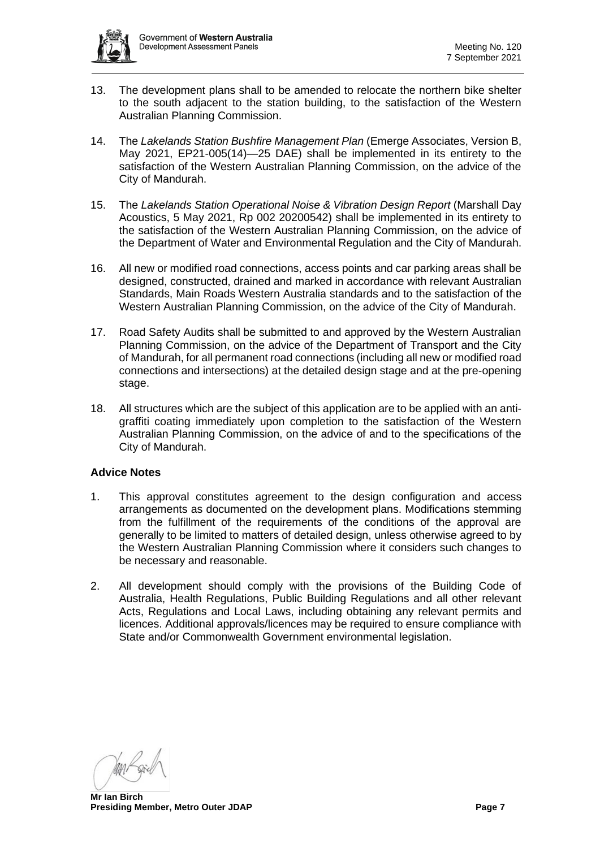

- 13. The development plans shall to be amended to relocate the northern bike shelter to the south adjacent to the station building, to the satisfaction of the Western Australian Planning Commission.
- 14. The *Lakelands Station Bushfire Management Plan* (Emerge Associates, Version B, May 2021, EP21-005(14)—25 DAE) shall be implemented in its entirety to the satisfaction of the Western Australian Planning Commission, on the advice of the City of Mandurah.
- 15. The *Lakelands Station Operational Noise & Vibration Design Report* (Marshall Day Acoustics, 5 May 2021, Rp 002 20200542) shall be implemented in its entirety to the satisfaction of the Western Australian Planning Commission, on the advice of the Department of Water and Environmental Regulation and the City of Mandurah.
- 16. All new or modified road connections, access points and car parking areas shall be designed, constructed, drained and marked in accordance with relevant Australian Standards, Main Roads Western Australia standards and to the satisfaction of the Western Australian Planning Commission, on the advice of the City of Mandurah.
- 17. Road Safety Audits shall be submitted to and approved by the Western Australian Planning Commission, on the advice of the Department of Transport and the City of Mandurah, for all permanent road connections (including all new or modified road connections and intersections) at the detailed design stage and at the pre-opening stage.
- 18. All structures which are the subject of this application are to be applied with an antigraffiti coating immediately upon completion to the satisfaction of the Western Australian Planning Commission, on the advice of and to the specifications of the City of Mandurah.

# **Advice Notes**

- 1. This approval constitutes agreement to the design configuration and access arrangements as documented on the development plans. Modifications stemming from the fulfillment of the requirements of the conditions of the approval are generally to be limited to matters of detailed design, unless otherwise agreed to by the Western Australian Planning Commission where it considers such changes to be necessary and reasonable.
- 2. All development should comply with the provisions of the Building Code of Australia, Health Regulations, Public Building Regulations and all other relevant Acts, Regulations and Local Laws, including obtaining any relevant permits and licences. Additional approvals/licences may be required to ensure compliance with State and/or Commonwealth Government environmental legislation.

**Mr Ian Birch Presiding Member, Metro Outer JDAP Page 7 Page 7 Page 7**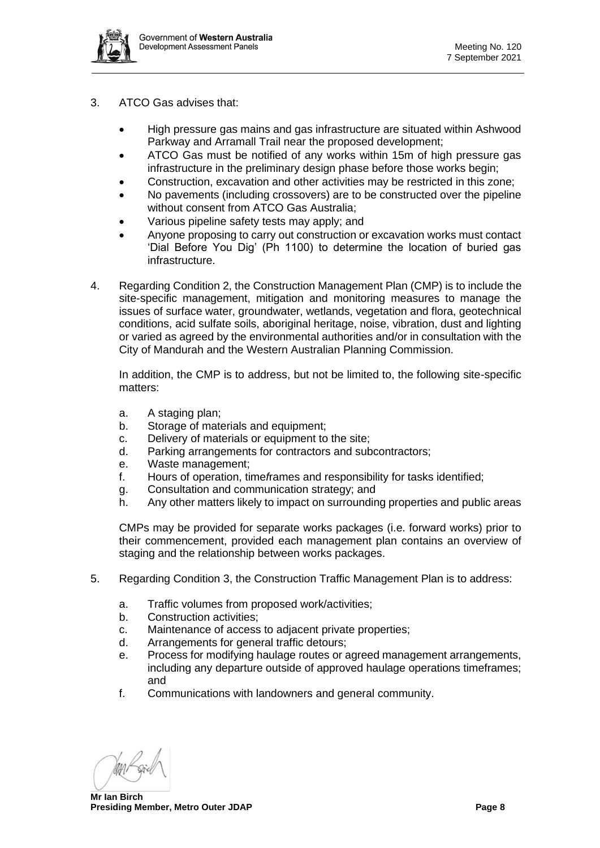

- 3. ATCO Gas advises that:
	- High pressure gas mains and gas infrastructure are situated within Ashwood Parkway and Arramall Trail near the proposed development;
	- ATCO Gas must be notified of any works within 15m of high pressure gas infrastructure in the preliminary design phase before those works begin;
	- Construction, excavation and other activities may be restricted in this zone;
	- No pavements (including crossovers) are to be constructed over the pipeline without consent from ATCO Gas Australia;
	- Various pipeline safety tests may apply; and
	- Anyone proposing to carry out construction or excavation works must contact 'Dial Before You Dig' (Ph 1100) to determine the location of buried gas infrastructure.
- 4. Regarding Condition 2, the Construction Management Plan (CMP) is to include the site-specific management, mitigation and monitoring measures to manage the issues of surface water, groundwater, wetlands, vegetation and flora, geotechnical conditions, acid sulfate soils, aboriginal heritage, noise, vibration, dust and lighting or varied as agreed by the environmental authorities and/or in consultation with the City of Mandurah and the Western Australian Planning Commission.

In addition, the CMP is to address, but not be limited to, the following site-specific matters:

- a. A staging plan;
- b. Storage of materials and equipment;
- c. Delivery of materials or equipment to the site;
- d. Parking arrangements for contractors and subcontractors;
- e. Waste management;
- f. Hours of operation, time*f*rames and responsibility for tasks identified;
- g. Consultation and communication strategy; and
- h. Any other matters likely to impact on surrounding properties and public areas

CMPs may be provided for separate works packages (i.e. forward works) prior to their commencement, provided each management plan contains an overview of staging and the relationship between works packages.

- 5. Regarding Condition 3, the Construction Traffic Management Plan is to address:
	- a. Traffic volumes from proposed work/activities;
	- b. Construction activities;
	- c. Maintenance of access to adjacent private properties;
	- d. Arrangements for general traffic detours;
	- e. Process for modifying haulage routes or agreed management arrangements, including any departure outside of approved haulage operations timeframes; and
	- f. Communications with landowners and general community.

**Mr Ian Birch Presiding Member, Metro Outer JDAP Page 8**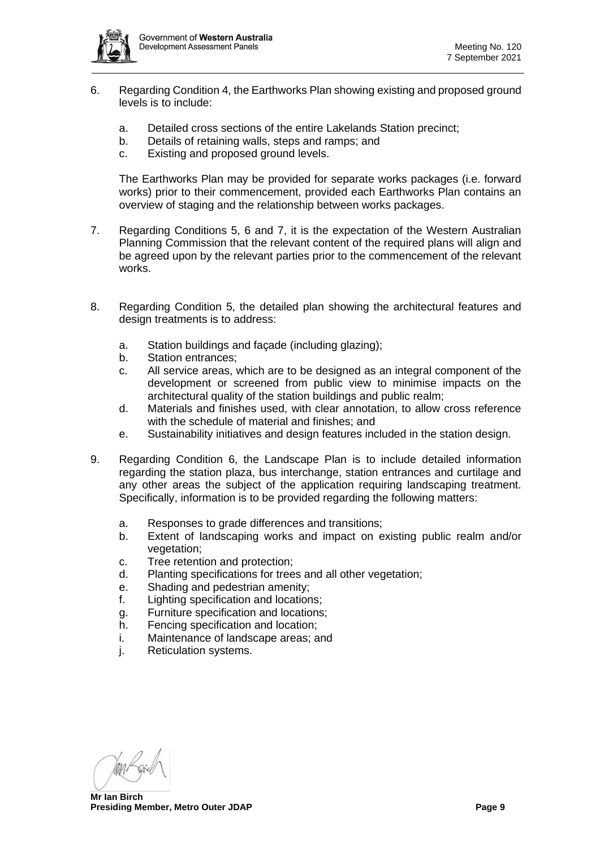- 6. Regarding Condition 4, the Earthworks Plan showing existing and proposed ground levels is to include:
	- a. Detailed cross sections of the entire Lakelands Station precinct;
	- b. Details of retaining walls, steps and ramps; and
	- c. Existing and proposed ground levels.

The Earthworks Plan may be provided for separate works packages (i.e. forward works) prior to their commencement, provided each Earthworks Plan contains an overview of staging and the relationship between works packages.

- 7. Regarding Conditions 5, 6 and 7, it is the expectation of the Western Australian Planning Commission that the relevant content of the required plans will align and be agreed upon by the relevant parties prior to the commencement of the relevant works.
- 8. Regarding Condition 5, the detailed plan showing the architectural features and design treatments is to address:
	- a. Station buildings and façade (including glazing);
	- b. Station entrances;
	- c. All service areas, which are to be designed as an integral component of the development or screened from public view to minimise impacts on the architectural quality of the station buildings and public realm;
	- d. Materials and finishes used, with clear annotation, to allow cross reference with the schedule of material and finishes; and
	- e. Sustainability initiatives and design features included in the station design.
- 9. Regarding Condition 6, the Landscape Plan is to include detailed information regarding the station plaza, bus interchange, station entrances and curtilage and any other areas the subject of the application requiring landscaping treatment. Specifically, information is to be provided regarding the following matters:
	- a. Responses to grade differences and transitions;
	- b. Extent of landscaping works and impact on existing public realm and/or vegetation:
	- c. Tree retention and protection;
	- d. Planting specifications for trees and all other vegetation;
	- e. Shading and pedestrian amenity;
	- f. Lighting specification and locations;
	- g. Furniture specification and locations;
	- h. Fencing specification and location;
	- i. Maintenance of landscape areas; and
	- j. Reticulation systems.

**Mr Ian Birch Presiding Member, Metro Outer JDAP Page 9 Page 9**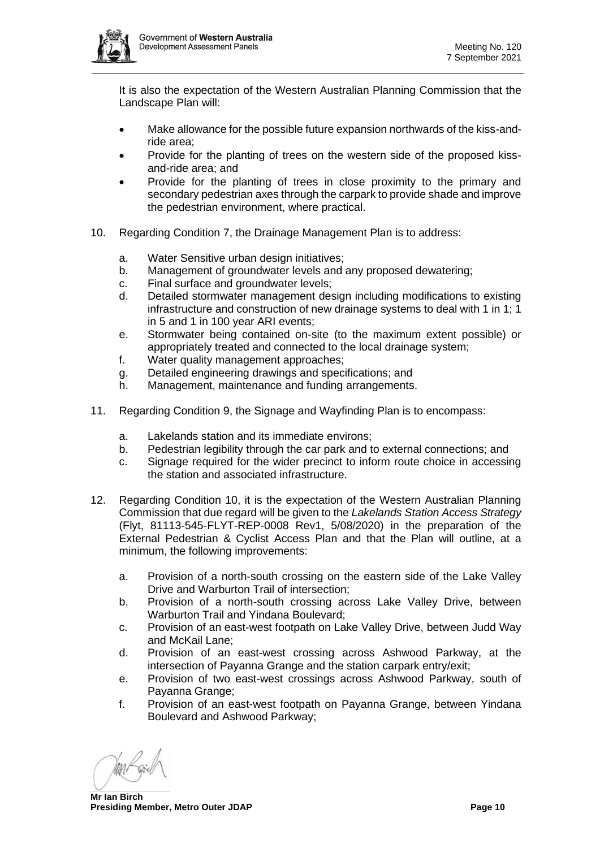

It is also the expectation of the Western Australian Planning Commission that the Landscape Plan will:

- Make allowance for the possible future expansion northwards of the kiss-andride area;
- Provide for the planting of trees on the western side of the proposed kissand-ride area; and
- Provide for the planting of trees in close proximity to the primary and secondary pedestrian axes through the carpark to provide shade and improve the pedestrian environment, where practical.
- 10. Regarding Condition 7, the Drainage Management Plan is to address:
	- a. Water Sensitive urban design initiatives;
	- b. Management of groundwater levels and any proposed dewatering;
	- c. Final surface and groundwater levels;
	- d. Detailed stormwater management design including modifications to existing infrastructure and construction of new drainage systems to deal with 1 in 1; 1 in 5 and 1 in 100 year ARI events;
	- e. Stormwater being contained on-site (to the maximum extent possible) or appropriately treated and connected to the local drainage system;
	- f. Water quality management approaches;
	- g. Detailed engineering drawings and specifications; and
	- h. Management, maintenance and funding arrangements.
- 11. Regarding Condition 9, the Signage and Wayfinding Plan is to encompass:
	- a. Lakelands station and its immediate environs;
	- b. Pedestrian legibility through the car park and to external connections; and
	- c. Signage required for the wider precinct to inform route choice in accessing the station and associated infrastructure.
- 12. Regarding Condition 10, it is the expectation of the Western Australian Planning Commission that due regard will be given to the *Lakelands Station Access Strategy* (Flyt, 81113-545-FLYT-REP-0008 Rev1, 5/08/2020) in the preparation of the External Pedestrian & Cyclist Access Plan and that the Plan will outline, at a minimum, the following improvements:
	- a. Provision of a north-south crossing on the eastern side of the Lake Valley Drive and Warburton Trail of intersection;
	- b. Provision of a north-south crossing across Lake Valley Drive, between Warburton Trail and Yindana Boulevard;
	- c. Provision of an east-west footpath on Lake Valley Drive, between Judd Way and McKail Lane;
	- d. Provision of an east-west crossing across Ashwood Parkway, at the intersection of Payanna Grange and the station carpark entry/exit;
	- e. Provision of two east-west crossings across Ashwood Parkway, south of Payanna Grange:
	- f. Provision of an east-west footpath on Payanna Grange, between Yindana Boulevard and Ashwood Parkway;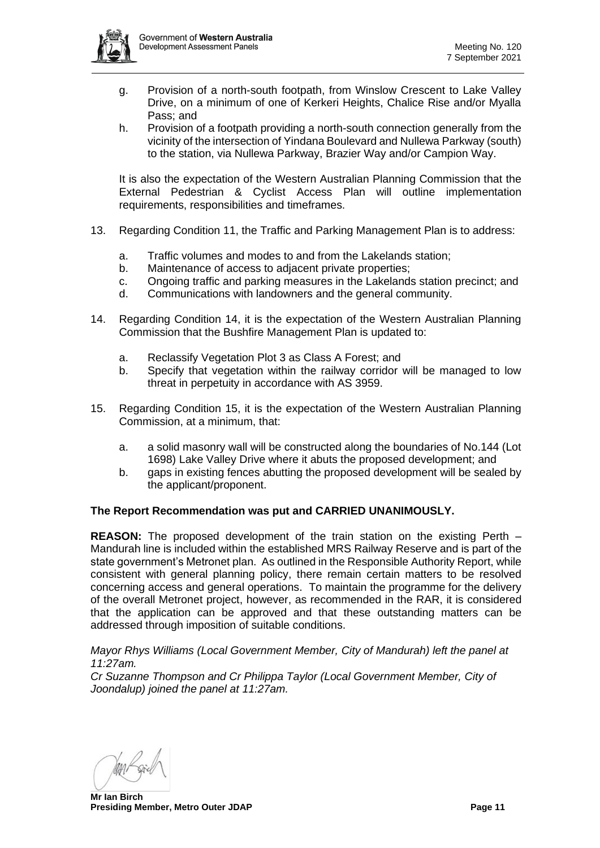

- g. Provision of a north-south footpath, from Winslow Crescent to Lake Valley Drive, on a minimum of one of Kerkeri Heights, Chalice Rise and/or Myalla Pass; and
- h. Provision of a footpath providing a north-south connection generally from the vicinity of the intersection of Yindana Boulevard and Nullewa Parkway (south) to the station, via Nullewa Parkway, Brazier Way and/or Campion Way.

It is also the expectation of the Western Australian Planning Commission that the External Pedestrian & Cyclist Access Plan will outline implementation requirements, responsibilities and timeframes.

- 13. Regarding Condition 11, the Traffic and Parking Management Plan is to address:
	- a. Traffic volumes and modes to and from the Lakelands station;
	- b. Maintenance of access to adjacent private properties;
	- c. Ongoing traffic and parking measures in the Lakelands station precinct; and
	- d. Communications with landowners and the general community.
- 14. Regarding Condition 14, it is the expectation of the Western Australian Planning Commission that the Bushfire Management Plan is updated to:
	- a. Reclassify Vegetation Plot 3 as Class A Forest; and
	- b. Specify that vegetation within the railway corridor will be managed to low threat in perpetuity in accordance with AS 3959.
- 15. Regarding Condition 15, it is the expectation of the Western Australian Planning Commission, at a minimum, that:
	- a. a solid masonry wall will be constructed along the boundaries of No.144 (Lot 1698) Lake Valley Drive where it abuts the proposed development; and
	- b. gaps in existing fences abutting the proposed development will be sealed by the applicant/proponent.

### **The Report Recommendation was put and CARRIED UNANIMOUSLY.**

**REASON:** The proposed development of the train station on the existing Perth – Mandurah line is included within the established MRS Railway Reserve and is part of the state government's Metronet plan. As outlined in the Responsible Authority Report, while consistent with general planning policy, there remain certain matters to be resolved concerning access and general operations. To maintain the programme for the delivery of the overall Metronet project, however, as recommended in the RAR, it is considered that the application can be approved and that these outstanding matters can be addressed through imposition of suitable conditions.

*Mayor Rhys Williams (Local Government Member, City of Mandurah) left the panel at 11:27am.*

*Cr Suzanne Thompson and Cr Philippa Taylor (Local Government Member, City of Joondalup) joined the panel at 11:27am.*

**Mr Ian Birch Presiding Member, Metro Outer JDAP Page 11**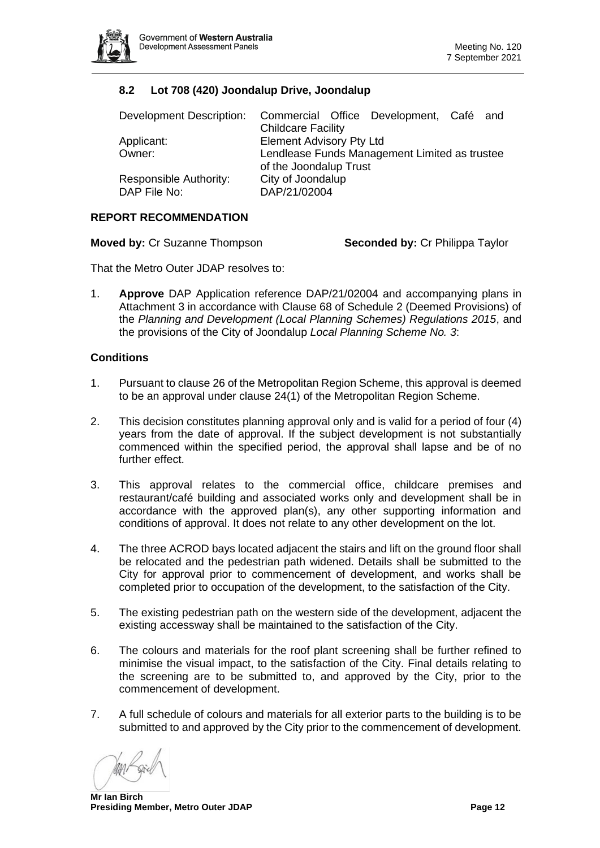

# <span id="page-11-0"></span>**8.2 Lot 708 (420) Joondalup Drive, Joondalup**

| Development Description: |                                               |  | Commercial Office Development, Café and |  |  |
|--------------------------|-----------------------------------------------|--|-----------------------------------------|--|--|
|                          | <b>Childcare Facility</b>                     |  |                                         |  |  |
| Applicant:               | <b>Element Advisory Pty Ltd</b>               |  |                                         |  |  |
| Owner:                   | Lendlease Funds Management Limited as trustee |  |                                         |  |  |
|                          | of the Joondalup Trust                        |  |                                         |  |  |
| Responsible Authority:   | City of Joondalup                             |  |                                         |  |  |
| DAP File No:             | DAP/21/02004                                  |  |                                         |  |  |

### **REPORT RECOMMENDATION**

| <b>Moved by: Cr Suzanne Thompson</b> | <b>Sec</b> |
|--------------------------------------|------------|
|                                      |            |

**Monded by: Cr Philippa Taylor** 

That the Metro Outer JDAP resolves to:

1. **Approve** DAP Application reference DAP/21/02004 and accompanying plans in Attachment 3 in accordance with Clause 68 of Schedule 2 (Deemed Provisions) of the *Planning and Development (Local Planning Schemes) Regulations 2015*, and the provisions of the City of Joondalup *Local Planning Scheme No. 3*:

### **Conditions**

- 1. Pursuant to clause 26 of the Metropolitan Region Scheme, this approval is deemed to be an approval under clause 24(1) of the Metropolitan Region Scheme.
- 2. This decision constitutes planning approval only and is valid for a period of four (4) years from the date of approval. If the subject development is not substantially commenced within the specified period, the approval shall lapse and be of no further effect.
- 3. This approval relates to the commercial office, childcare premises and restaurant/café building and associated works only and development shall be in accordance with the approved plan(s), any other supporting information and conditions of approval. It does not relate to any other development on the lot.
- 4. The three ACROD bays located adjacent the stairs and lift on the ground floor shall be relocated and the pedestrian path widened. Details shall be submitted to the City for approval prior to commencement of development, and works shall be completed prior to occupation of the development, to the satisfaction of the City.
- 5. The existing pedestrian path on the western side of the development, adjacent the existing accessway shall be maintained to the satisfaction of the City.
- 6. The colours and materials for the roof plant screening shall be further refined to minimise the visual impact, to the satisfaction of the City. Final details relating to the screening are to be submitted to, and approved by the City, prior to the commencement of development.
- 7. A full schedule of colours and materials for all exterior parts to the building is to be submitted to and approved by the City prior to the commencement of development.

**Mr Ian Birch Presiding Member, Metro Outer JDAP Page 12 Page 12**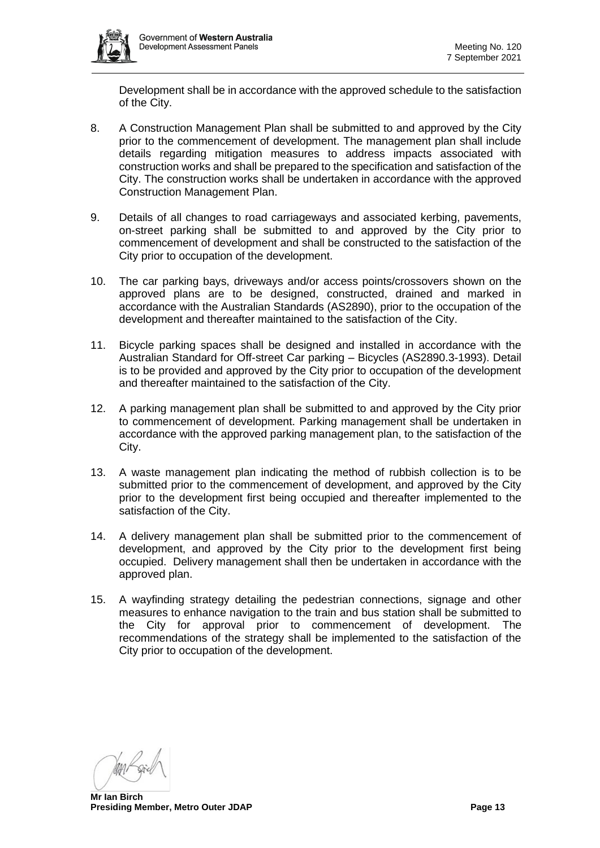

Development shall be in accordance with the approved schedule to the satisfaction of the City.

- 8. A Construction Management Plan shall be submitted to and approved by the City prior to the commencement of development. The management plan shall include details regarding mitigation measures to address impacts associated with construction works and shall be prepared to the specification and satisfaction of the City. The construction works shall be undertaken in accordance with the approved Construction Management Plan.
- 9. Details of all changes to road carriageways and associated kerbing, pavements, on-street parking shall be submitted to and approved by the City prior to commencement of development and shall be constructed to the satisfaction of the City prior to occupation of the development.
- 10. The car parking bays, driveways and/or access points/crossovers shown on the approved plans are to be designed, constructed, drained and marked in accordance with the Australian Standards (AS2890), prior to the occupation of the development and thereafter maintained to the satisfaction of the City.
- 11. Bicycle parking spaces shall be designed and installed in accordance with the Australian Standard for Off-street Car parking – Bicycles (AS2890.3-1993). Detail is to be provided and approved by the City prior to occupation of the development and thereafter maintained to the satisfaction of the City.
- 12. A parking management plan shall be submitted to and approved by the City prior to commencement of development. Parking management shall be undertaken in accordance with the approved parking management plan, to the satisfaction of the City.
- 13. A waste management plan indicating the method of rubbish collection is to be submitted prior to the commencement of development, and approved by the City prior to the development first being occupied and thereafter implemented to the satisfaction of the City.
- 14. A delivery management plan shall be submitted prior to the commencement of development, and approved by the City prior to the development first being occupied. Delivery management shall then be undertaken in accordance with the approved plan.
- 15. A wayfinding strategy detailing the pedestrian connections, signage and other measures to enhance navigation to the train and bus station shall be submitted to the City for approval prior to commencement of development. The recommendations of the strategy shall be implemented to the satisfaction of the City prior to occupation of the development.

**Mr Ian Birch Presiding Member, Metro Outer JDAP Page 13**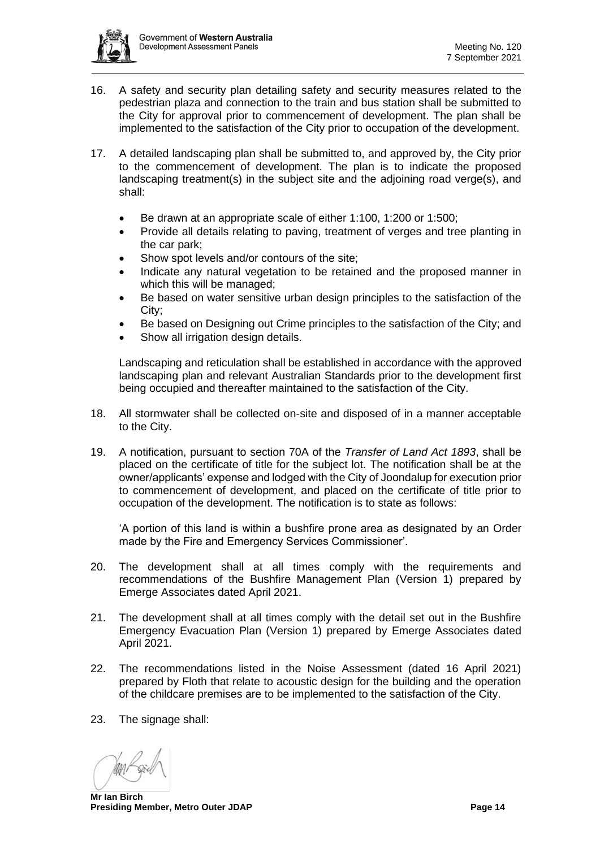

- 16. A safety and security plan detailing safety and security measures related to the pedestrian plaza and connection to the train and bus station shall be submitted to the City for approval prior to commencement of development. The plan shall be implemented to the satisfaction of the City prior to occupation of the development.
- 17. A detailed landscaping plan shall be submitted to, and approved by, the City prior to the commencement of development. The plan is to indicate the proposed landscaping treatment(s) in the subject site and the adjoining road verge(s), and shall:
	- Be drawn at an appropriate scale of either 1:100, 1:200 or 1:500;
	- Provide all details relating to paving, treatment of verges and tree planting in the car park;
	- Show spot levels and/or contours of the site;
	- Indicate any natural vegetation to be retained and the proposed manner in which this will be managed:
	- Be based on water sensitive urban design principles to the satisfaction of the City;
	- Be based on Designing out Crime principles to the satisfaction of the City; and
	- Show all irrigation design details.

Landscaping and reticulation shall be established in accordance with the approved landscaping plan and relevant Australian Standards prior to the development first being occupied and thereafter maintained to the satisfaction of the City.

- 18. All stormwater shall be collected on-site and disposed of in a manner acceptable to the City.
- 19. A notification, pursuant to section 70A of the *Transfer of Land Act 1893*, shall be placed on the certificate of title for the subject lot. The notification shall be at the owner/applicants' expense and lodged with the City of Joondalup for execution prior to commencement of development, and placed on the certificate of title prior to occupation of the development. The notification is to state as follows:

'A portion of this land is within a bushfire prone area as designated by an Order made by the Fire and Emergency Services Commissioner'.

- 20. The development shall at all times comply with the requirements and recommendations of the Bushfire Management Plan (Version 1) prepared by Emerge Associates dated April 2021.
- 21. The development shall at all times comply with the detail set out in the Bushfire Emergency Evacuation Plan (Version 1) prepared by Emerge Associates dated April 2021.
- 22. The recommendations listed in the Noise Assessment (dated 16 April 2021) prepared by Floth that relate to acoustic design for the building and the operation of the childcare premises are to be implemented to the satisfaction of the City.
- 23. The signage shall:

**Mr Ian Birch Presiding Member, Metro Outer JDAP Page 14 Page 14**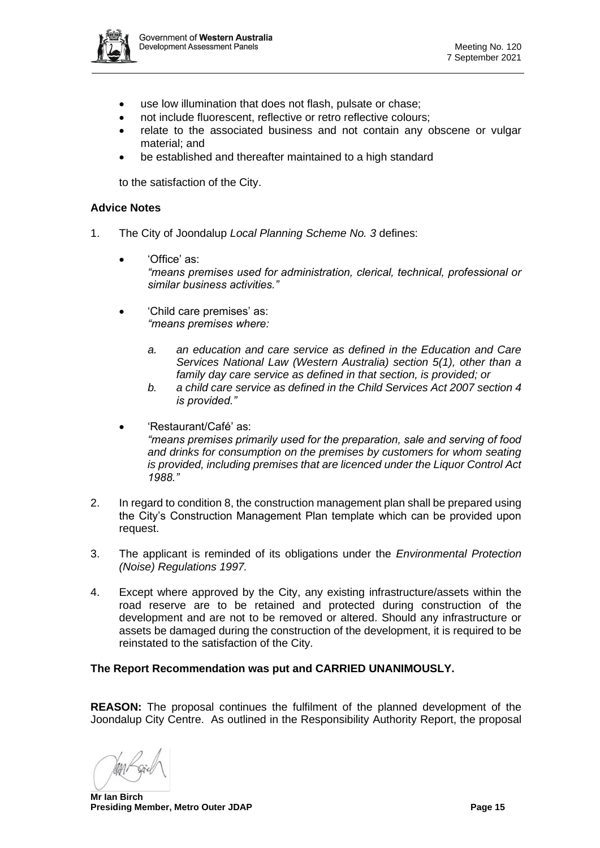

- use low illumination that does not flash, pulsate or chase;
- not include fluorescent, reflective or retro reflective colours;
- relate to the associated business and not contain any obscene or vulgar material; and
- be established and thereafter maintained to a high standard

to the satisfaction of the City.

### **Advice Notes**

- 1. The City of Joondalup *Local Planning Scheme No. 3* defines:
	- 'Office' as: *"means premises used for administration, clerical, technical, professional or similar business activities."*
	- 'Child care premises' as: *"means premises where:*
		- *a. an education and care service as defined in the Education and Care Services National Law (Western Australia) section 5(1), other than a family day care service as defined in that section, is provided; or*
		- *b. a child care service as defined in the Child Services Act 2007 section 4 is provided."*
	- 'Restaurant/Café' as: *"means premises primarily used for the preparation, sale and serving of food and drinks for consumption on the premises by customers for whom seating is provided, including premises that are licenced under the Liquor Control Act 1988."*
- 2. In regard to condition 8, the construction management plan shall be prepared using the City's Construction Management Plan template which can be provided upon request.
- 3. The applicant is reminded of its obligations under the *Environmental Protection (Noise) Regulations 1997.*
- 4. Except where approved by the City, any existing infrastructure/assets within the road reserve are to be retained and protected during construction of the development and are not to be removed or altered. Should any infrastructure or assets be damaged during the construction of the development, it is required to be reinstated to the satisfaction of the City.

### **The Report Recommendation was put and CARRIED UNANIMOUSLY.**

**REASON:** The proposal continues the fulfilment of the planned development of the Joondalup City Centre. As outlined in the Responsibility Authority Report, the proposal

**Mr Ian Birch Presiding Member, Metro Outer JDAP Page 15**